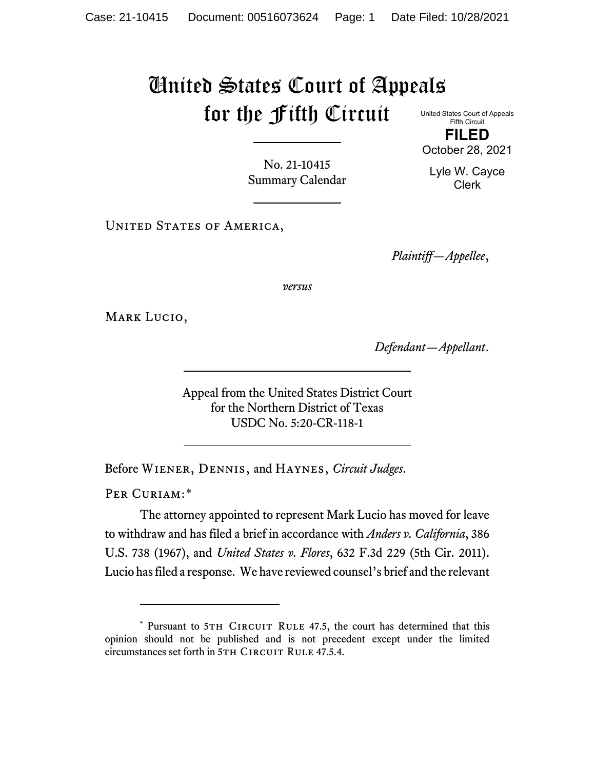## United States Court of Appeals for the Fifth Circuit

United States Court of Appeals Fifth Circuit **FILED**

October 28, 2021

Lyle W. Cayce Clerk

No. 21-10415 Summary Calendar

UNITED STATES OF AMERICA,

*Plaintiff—Appellee*,

*versus*

MARK LUCIO,

*Defendant—Appellant*.

Appeal from the United States District Court for the Northern District of Texas USDC No. 5:20-CR-118-1

Before Wiener, Dennis, and Haynes, *Circuit Judges*.

PER CURIAM:[\\*](#page-0-0)

The attorney appointed to represent Mark Lucio has moved for leave to withdraw and has filed a brief in accordance with *Anders v. California*, 386 U.S. 738 (1967), and *United States v. Flores*, 632 F.3d 229 (5th Cir. 2011). Lucio has filed a response. We have reviewed counsel's brief and the relevant

<span id="page-0-0"></span><sup>\*</sup> Pursuant to 5TH CIRCUIT RULE 47.5, the court has determined that this opinion should not be published and is not precedent except under the limited circumstances set forth in 5TH CIRCUIT RULE 47.5.4.